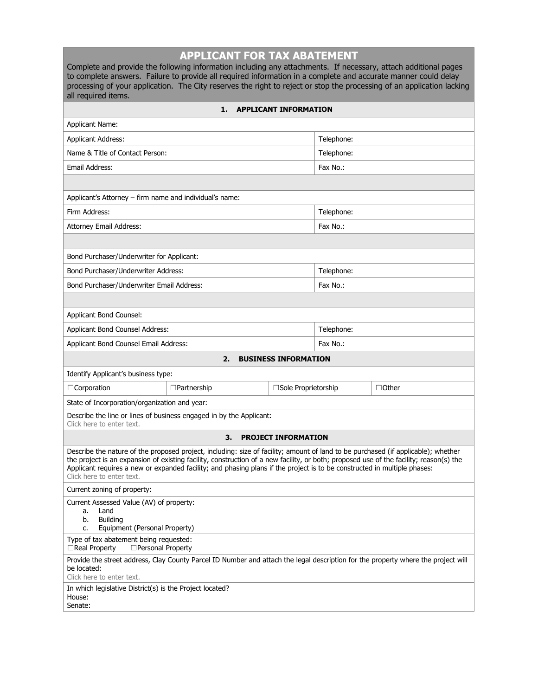| <b>APPLICANT FOR TAX ABATEMENT</b><br>Complete and provide the following information including any attachments. If necessary, attach additional pages<br>to complete answers. Failure to provide all required information in a complete and accurate manner could delay<br>processing of your application. The City reserves the right to reject or stop the processing of an application lacking<br>all required items.             |                                               |                                      |            |  |  |  |  |  |  |
|--------------------------------------------------------------------------------------------------------------------------------------------------------------------------------------------------------------------------------------------------------------------------------------------------------------------------------------------------------------------------------------------------------------------------------------|-----------------------------------------------|--------------------------------------|------------|--|--|--|--|--|--|
| <b>APPLICANT INFORMATION</b><br>1.                                                                                                                                                                                                                                                                                                                                                                                                   |                                               |                                      |            |  |  |  |  |  |  |
| <b>Applicant Name:</b>                                                                                                                                                                                                                                                                                                                                                                                                               |                                               |                                      |            |  |  |  |  |  |  |
| <b>Applicant Address:</b>                                                                                                                                                                                                                                                                                                                                                                                                            |                                               |                                      | Telephone: |  |  |  |  |  |  |
| Name & Title of Contact Person:                                                                                                                                                                                                                                                                                                                                                                                                      |                                               |                                      | Telephone: |  |  |  |  |  |  |
| Email Address:                                                                                                                                                                                                                                                                                                                                                                                                                       |                                               |                                      | Fax No.:   |  |  |  |  |  |  |
|                                                                                                                                                                                                                                                                                                                                                                                                                                      |                                               |                                      |            |  |  |  |  |  |  |
| Applicant's Attorney - firm name and individual's name:                                                                                                                                                                                                                                                                                                                                                                              |                                               |                                      |            |  |  |  |  |  |  |
| Firm Address:                                                                                                                                                                                                                                                                                                                                                                                                                        |                                               |                                      | Telephone: |  |  |  |  |  |  |
| <b>Attorney Email Address:</b>                                                                                                                                                                                                                                                                                                                                                                                                       |                                               |                                      | Fax No.:   |  |  |  |  |  |  |
|                                                                                                                                                                                                                                                                                                                                                                                                                                      |                                               |                                      |            |  |  |  |  |  |  |
| Bond Purchaser/Underwriter for Applicant:                                                                                                                                                                                                                                                                                                                                                                                            |                                               |                                      |            |  |  |  |  |  |  |
| Bond Purchaser/Underwriter Address:                                                                                                                                                                                                                                                                                                                                                                                                  |                                               |                                      | Telephone: |  |  |  |  |  |  |
| Bond Purchaser/Underwriter Email Address:                                                                                                                                                                                                                                                                                                                                                                                            |                                               |                                      | Fax No.:   |  |  |  |  |  |  |
|                                                                                                                                                                                                                                                                                                                                                                                                                                      |                                               |                                      |            |  |  |  |  |  |  |
| Applicant Bond Counsel:                                                                                                                                                                                                                                                                                                                                                                                                              |                                               |                                      |            |  |  |  |  |  |  |
| Applicant Bond Counsel Address:                                                                                                                                                                                                                                                                                                                                                                                                      |                                               |                                      | Telephone: |  |  |  |  |  |  |
| Applicant Bond Counsel Email Address:                                                                                                                                                                                                                                                                                                                                                                                                |                                               |                                      | Fax No.:   |  |  |  |  |  |  |
|                                                                                                                                                                                                                                                                                                                                                                                                                                      | 2.                                            | <b>BUSINESS INFORMATION</b>          |            |  |  |  |  |  |  |
| Identify Applicant's business type:                                                                                                                                                                                                                                                                                                                                                                                                  |                                               |                                      |            |  |  |  |  |  |  |
| □Corporation                                                                                                                                                                                                                                                                                                                                                                                                                         | $\Box$ Partnership                            | □Sole Proprietorship<br>$\Box$ Other |            |  |  |  |  |  |  |
|                                                                                                                                                                                                                                                                                                                                                                                                                                      | State of Incorporation/organization and year: |                                      |            |  |  |  |  |  |  |
| Describe the line or lines of business engaged in by the Applicant:<br>Click here to enter text.                                                                                                                                                                                                                                                                                                                                     |                                               |                                      |            |  |  |  |  |  |  |
|                                                                                                                                                                                                                                                                                                                                                                                                                                      | З.                                            | <b>PROJECT INFORMATION</b>           |            |  |  |  |  |  |  |
| Describe the nature of the proposed project, including: size of facility; amount of land to be purchased (if applicable); whether<br>the project is an expansion of existing facility, construction of a new facility, or both; proposed use of the facility; reason(s) the<br>Applicant requires a new or expanded facility; and phasing plans if the project is to be constructed in multiple phases:<br>Click here to enter text. |                                               |                                      |            |  |  |  |  |  |  |
| Current zoning of property:                                                                                                                                                                                                                                                                                                                                                                                                          |                                               |                                      |            |  |  |  |  |  |  |
| Current Assessed Value (AV) of property:<br>Land<br>a.<br><b>Building</b><br>b.<br>Equipment (Personal Property)<br>c.                                                                                                                                                                                                                                                                                                               |                                               |                                      |            |  |  |  |  |  |  |
| Type of tax abatement being requested:<br>□ Personal Property<br>$\Box$ Real Property                                                                                                                                                                                                                                                                                                                                                |                                               |                                      |            |  |  |  |  |  |  |
| Provide the street address, Clay County Parcel ID Number and attach the legal description for the property where the project will<br>be located:<br>Click here to enter text.                                                                                                                                                                                                                                                        |                                               |                                      |            |  |  |  |  |  |  |
| In which legislative District(s) is the Project located?<br>House:<br>Senate:                                                                                                                                                                                                                                                                                                                                                        |                                               |                                      |            |  |  |  |  |  |  |